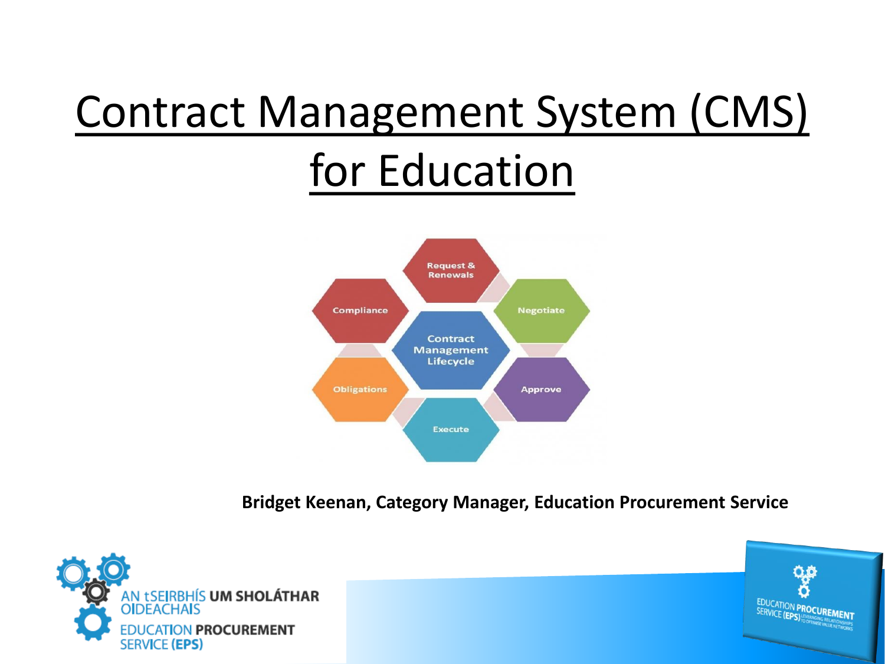# Contract Management System (CMS) for Education



**Bridget Keenan, Category Manager, Education Procurement Service**



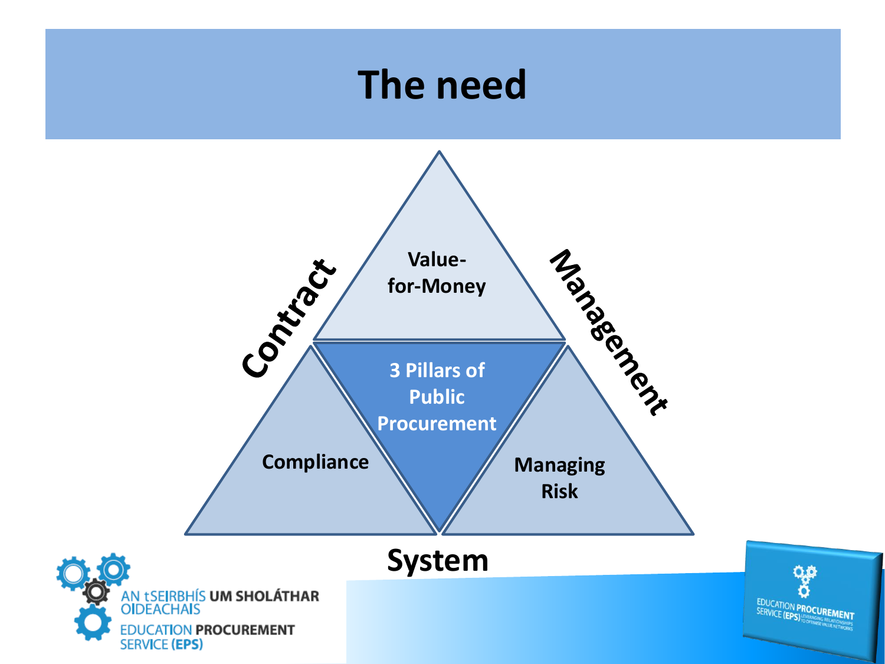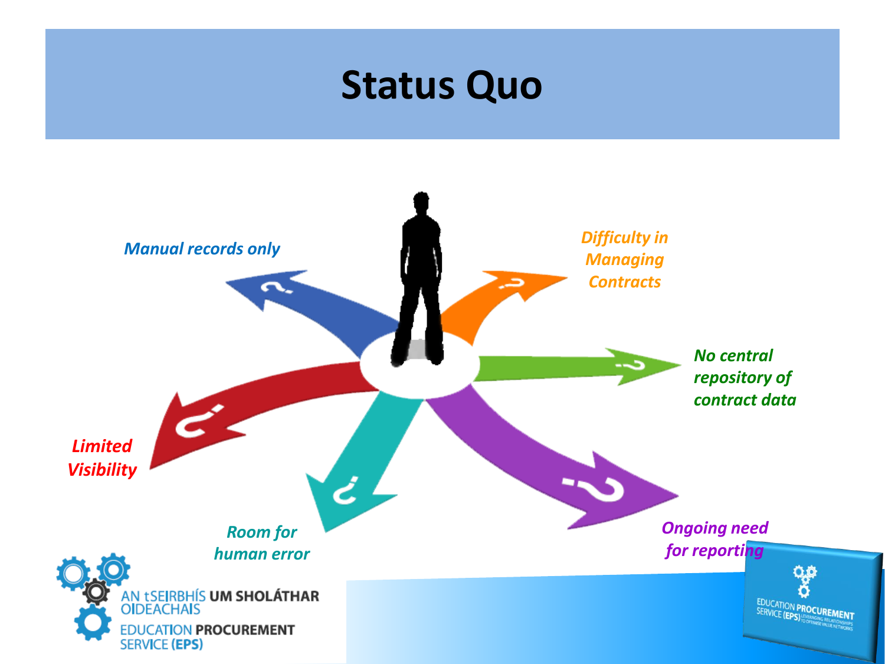# **Status Quo**

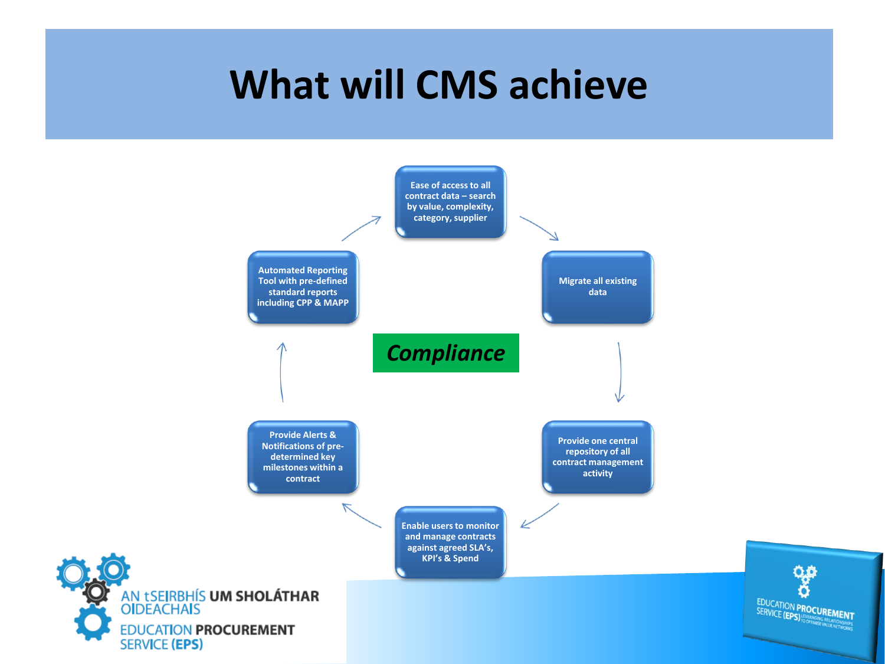# **What will CMS achieve**

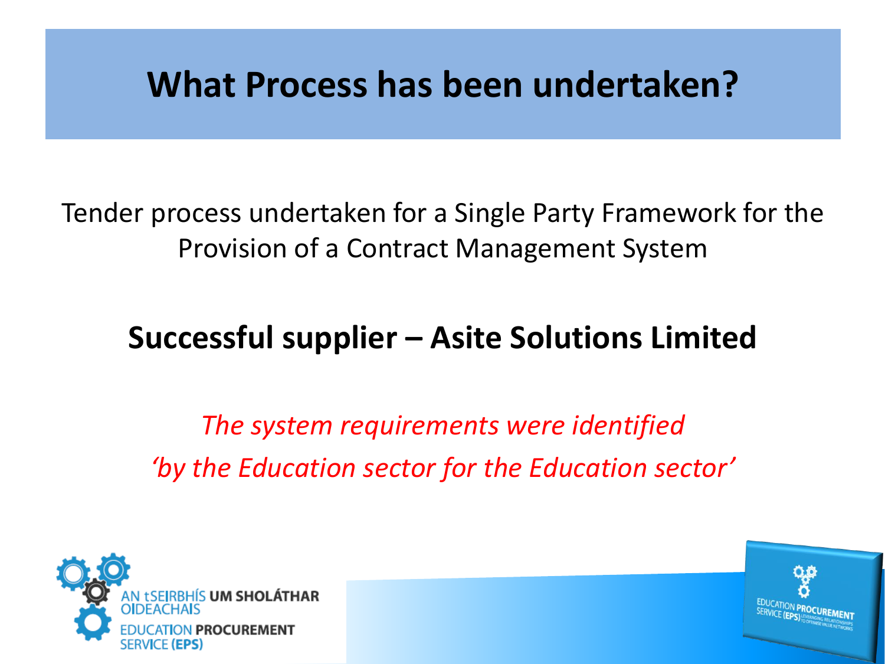## **What Process has been undertaken?**

Tender process undertaken for a Single Party Framework for the Provision of a Contract Management System

### **Successful supplier – Asite Solutions Limited**

*The system requirements were identified 'by the Education sector for the Education sector'*



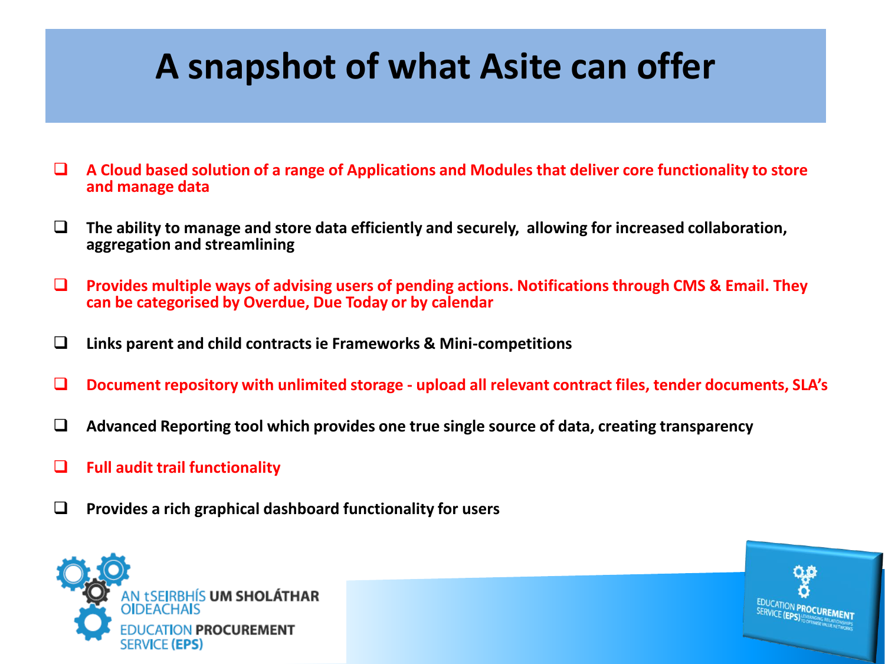# **A snapshot of what Asite can offer**

- ❑ **A Cloud based solution of a range of Applications and Modules that deliver core functionality to store and manage data**
- ❑ **The ability to manage and store data efficiently and securely, allowing for increased collaboration, aggregation and streamlining**
- ❑ **Provides multiple ways of advising users of pending actions. Notifications through CMS & Email. They can be categorised by Overdue, Due Today or by calendar**
- ❑ **Links parent and child contracts ie Frameworks & Mini-competitions**
- ❑ **Document repository with unlimited storage - upload all relevant contract files, tender documents, SLA's**
- ❑ **Advanced Reporting tool which provides one true single source of data, creating transparency**
- ❑ **Full audit trail functionality**
- ❑ **Provides a rich graphical dashboard functionality for users**



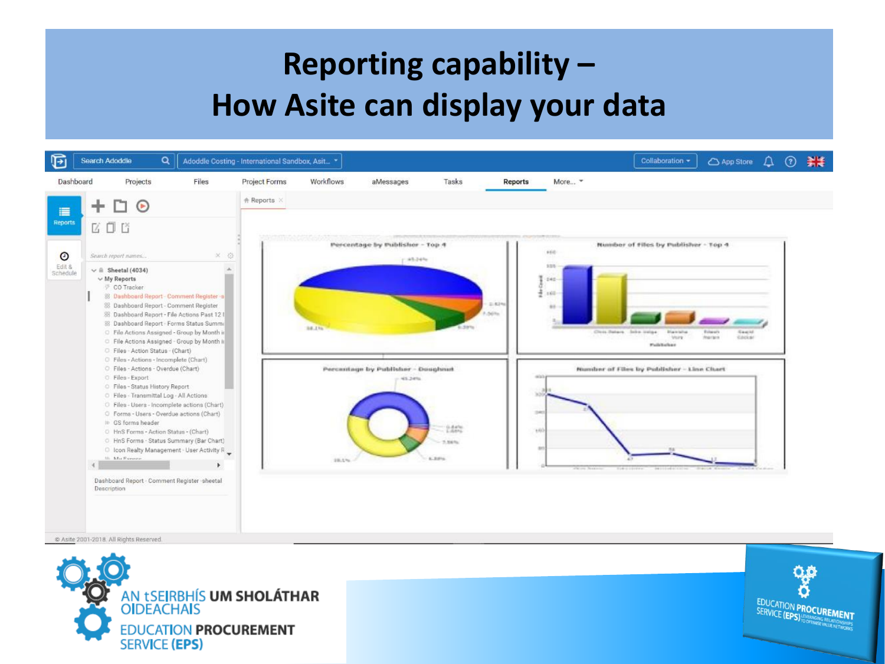### **Reporting capability – How Asite can display your data**





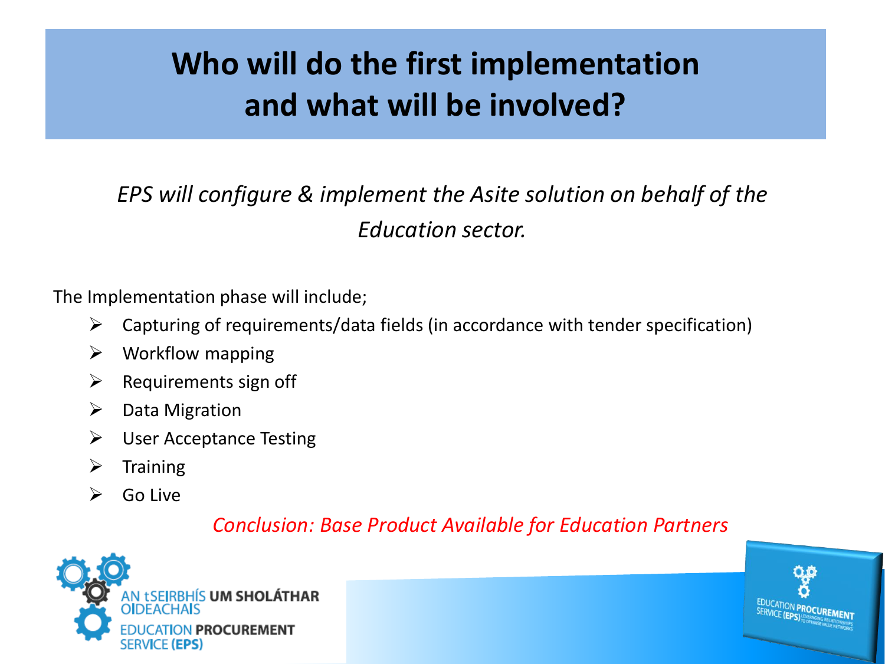### **Who will do the first implementation and what will be involved?**

### *EPS will configure & implement the Asite solution on behalf of the Education sector.*

The Implementation phase will include;

- $\triangleright$  Capturing of requirements/data fields (in accordance with tender specification)
- $\triangleright$  Workflow mapping
- $\triangleright$  Requirements sign off
- ➢ Data Migration
- $\triangleright$  User Acceptance Testing
- $\triangleright$  Training
- $\triangleright$  Go Live

#### *Conclusion: Base Product Available for Education Partners*



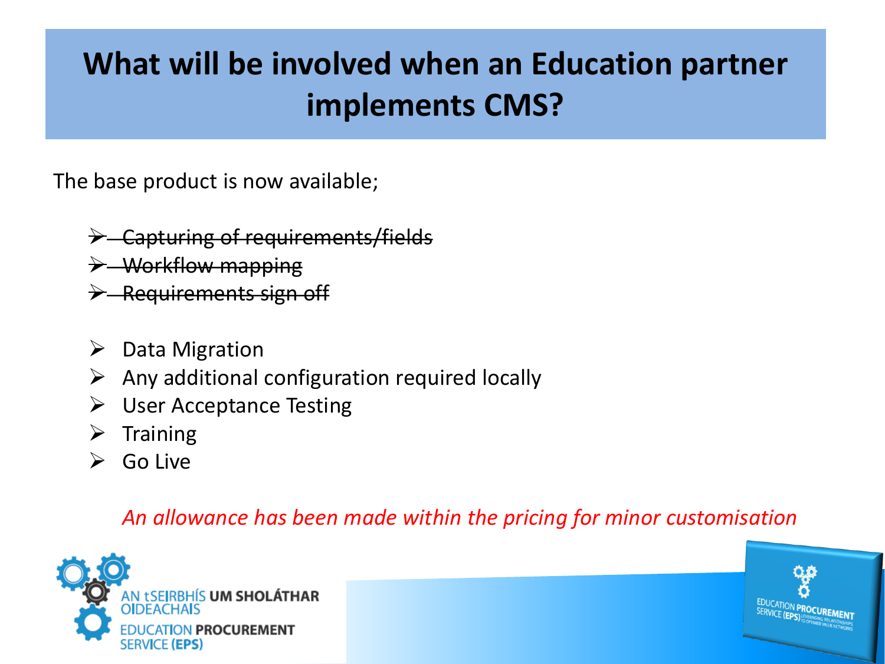### **What will be involved when an Education partner implements CMS?**

The base product is now available;

- ➢ Capturing of requirements/fields
- $\rightarrow$  Workflow mapping
- $\rightarrow$  Requirements sign off
- ➢ Data Migration
- $\triangleright$  Any additional configuration required locally
- $\triangleright$  User Acceptance Testing
- $\triangleright$  Training
- $\triangleright$  Go Live

#### *An allowance has been made within the pricing for minor customisation*



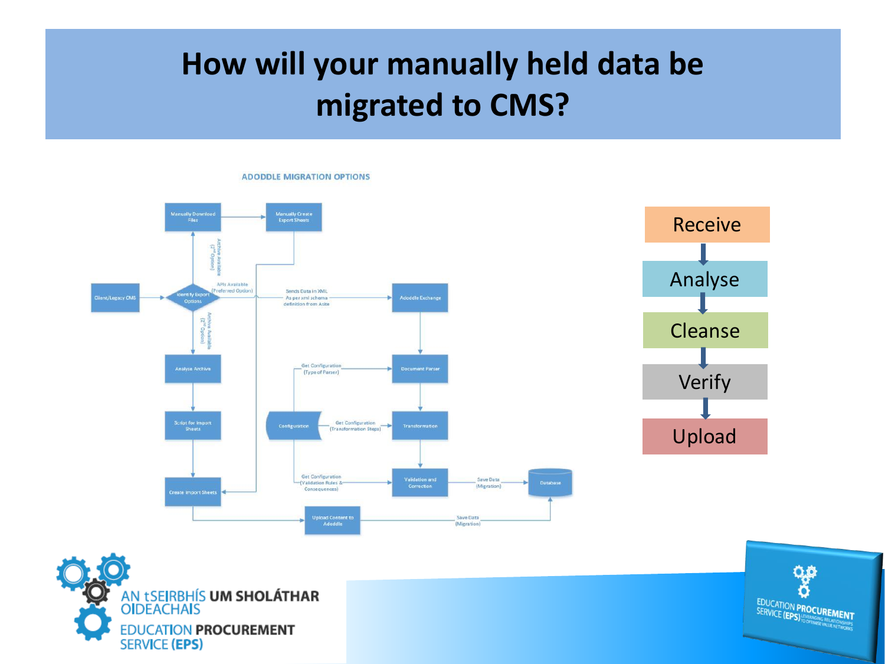### **How will your manually held data be migrated to CMS?**



**ADODDLE MIGRATION OPTIONS** 



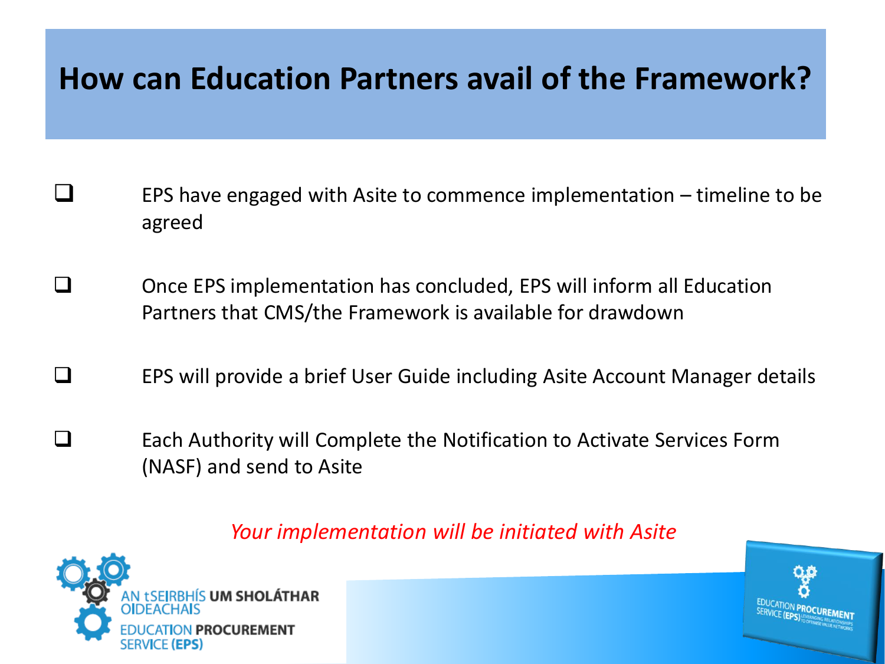### **How can Education Partners avail of the Framework?**

- ❑ EPS have engaged with Asite to commence implementation timeline to be agreed
- ❑ Once EPS implementation has concluded, EPS will inform all Education Partners that CMS/the Framework is available for drawdown
- ❑ EPS will provide a brief User Guide including Asite Account Manager details
- ❑ Each Authority will Complete the Notification to Activate Services Form (NASF) and send to Asite

#### *Your implementation will be initiated with Asite*



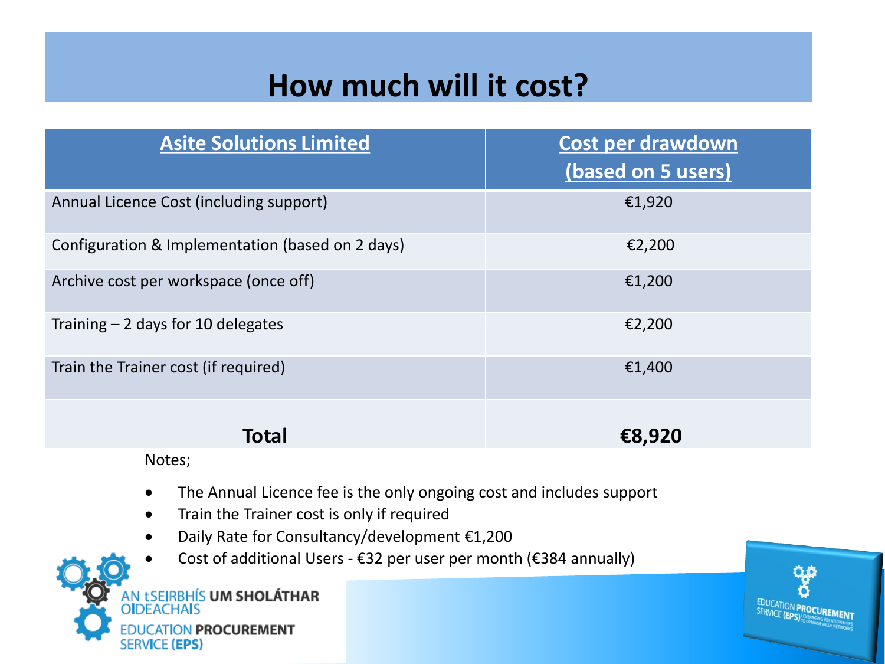### **How much will it cost?**

| <b>Asite Solutions Limited</b>                   | Cost per drawdown<br>(based on 5 users) |
|--------------------------------------------------|-----------------------------------------|
| Annual Licence Cost (including support)          | €1,920                                  |
| Configuration & Implementation (based on 2 days) | €2,200                                  |
| Archive cost per workspace (once off)            | €1,200                                  |
| Training $-2$ days for 10 delegates              | €2,200                                  |
| Train the Trainer cost (if required)             | €1,400                                  |
| Total                                            | €8,920                                  |

Notes;

- The Annual Licence fee is the only ongoing cost and includes support
- Train the Trainer cost is only if required
- Daily Rate for Consultancy/development €1,200
- Cost of additional Users €32 per user per month (€384 annually)